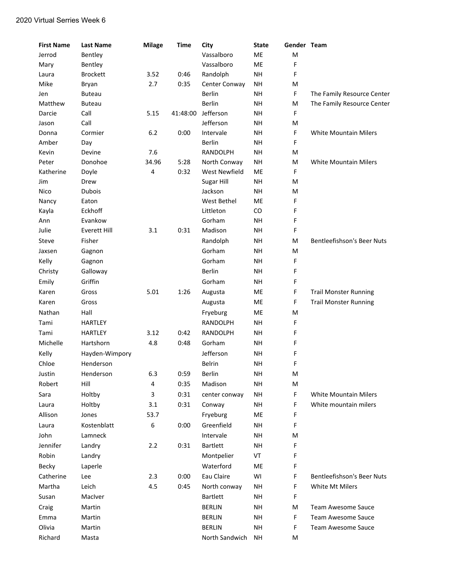| <b>First Name</b> | <b>Last Name</b>    | <b>Milage</b> | <b>Time</b> | City              | <b>State</b> | Gender Team |                                   |
|-------------------|---------------------|---------------|-------------|-------------------|--------------|-------------|-----------------------------------|
| Jerrod            | Bentley             |               |             | Vassalboro        | ME           | M           |                                   |
| Mary              | Bentley             |               |             | Vassalboro        | ME           | F           |                                   |
| Laura             | <b>Brockett</b>     | 3.52          | 0:46        | Randolph          | <b>NH</b>    | F           |                                   |
| Mike              | Bryan               | 2.7           | 0:35        | Center Conway     | <b>NH</b>    | М           |                                   |
| Jen               | <b>Buteau</b>       |               |             | <b>Berlin</b>     | <b>NH</b>    | F           | The Family Resource Center        |
| Matthew           | <b>Buteau</b>       |               |             | Berlin            | <b>NH</b>    | M           | The Family Resource Center        |
| Darcie            | Call                | 5.15          | 41:48:00    | Jefferson         | <b>NH</b>    | F           |                                   |
| Jason             | Call                |               |             | Jefferson         | <b>NH</b>    | M           |                                   |
| Donna             | Cormier             | 6.2           | 0:00        | Intervale         | <b>NH</b>    | F           | <b>White Mountain Milers</b>      |
| Amber             | Day                 |               |             | <b>Berlin</b>     | <b>NH</b>    | F           |                                   |
| Kevin             | Devine              | 7.6           |             | RANDOLPH          | <b>NH</b>    | M           |                                   |
| Peter             | Donohoe             | 34.96         | 5:28        | North Conway      | <b>NH</b>    | М           | White Mountain Milers             |
| Katherine         | Doyle               | 4             | 0:32        | West Newfield     | ME           | F           |                                   |
| Jim               | Drew                |               |             | <b>Sugar Hill</b> | <b>NH</b>    | M           |                                   |
| Nico              | <b>Dubois</b>       |               |             | Jackson           | <b>NH</b>    | M           |                                   |
| Nancy             | Eaton               |               |             | West Bethel       | ME           | F           |                                   |
| Kayla             | Eckhoff             |               |             | Littleton         | CO           | F           |                                   |
| Ann               | Evankow             |               |             | Gorham            | <b>NH</b>    | F           |                                   |
| Julie             | <b>Everett Hill</b> | 3.1           | 0:31        | Madison           | <b>NH</b>    | F           |                                   |
| Steve             | Fisher              |               |             | Randolph          | <b>NH</b>    | М           | <b>Bentleefishson's Beer Nuts</b> |
| Jaxsen            | Gagnon              |               |             | Gorham            | <b>NH</b>    | M           |                                   |
| Kelly             | Gagnon              |               |             | Gorham            | <b>NH</b>    | F           |                                   |
| Christy           | Galloway            |               |             | <b>Berlin</b>     | <b>NH</b>    | F           |                                   |
| Emily             | Griffin             |               |             | Gorham            | <b>NH</b>    | F           |                                   |
| Karen             | Gross               | 5.01          | 1:26        | Augusta           | ME           | F           | <b>Trail Monster Running</b>      |
| Karen             | Gross               |               |             | Augusta           | ME           | F           | <b>Trail Monster Running</b>      |
| Nathan            | Hall                |               |             | Fryeburg          | ME           | M           |                                   |
| Tami              | <b>HARTLEY</b>      |               |             | <b>RANDOLPH</b>   | <b>NH</b>    | F           |                                   |
| Tami              | <b>HARTLEY</b>      | 3.12          | 0:42        | <b>RANDOLPH</b>   | <b>NH</b>    | F           |                                   |
| Michelle          | Hartshorn           | 4.8           | 0:48        | Gorham            | <b>NH</b>    | F           |                                   |
| Kelly             | Hayden-Wimpory      |               |             | Jefferson         | <b>NH</b>    | F           |                                   |
| Chloe             | Henderson           |               |             | <b>Belrin</b>     | <b>NH</b>    | F           |                                   |
| Justin            | Henderson           | 6.3           | 0:59        | Berlin            | <b>NH</b>    | M           |                                   |
| Robert            | Hill                | 4             | 0:35        | Madison           | <b>NH</b>    | M           |                                   |
| Sara              | Holtby              | 3             | 0:31        | center conway     | <b>NH</b>    | F           | <b>White Mountain Milers</b>      |
| Laura             | Holtby              |               | 0:31        | Conway            | NH           | F           | White mountain milers             |
|                   | Jones               | 3.1           |             |                   |              |             |                                   |
| Allison           |                     | 53.7          |             | Fryeburg          | ME           | F           |                                   |
| Laura             | Kostenblatt         | 6             | 0:00        | Greenfield        | <b>NH</b>    | F           |                                   |
| John              | Lamneck             |               |             | Intervale         | NH           | M           |                                   |
| Jennifer          | Landry              | 2.2           | 0:31        | <b>Bartlett</b>   | <b>NH</b>    | F           |                                   |
| Robin             | Landry              |               |             | Montpelier        | VT           | F           |                                   |
| Becky             | Laperle             |               |             | Waterford         | ME           | F           |                                   |
| Catherine         | Lee                 | 2.3           | 0:00        | Eau Claire        | WI           | F           | <b>Bentleefishson's Beer Nuts</b> |
| Martha            | Leich               | 4.5           | 0:45        | North conway      | <b>NH</b>    | F           | White Mt Milers                   |
| Susan             | MacIver             |               |             | <b>Bartlett</b>   | NH           | F           |                                   |
| Craig             | Martin              |               |             | <b>BERLIN</b>     | NH           | M           | Team Awesome Sauce                |
| Emma              | Martin              |               |             | <b>BERLIN</b>     | <b>NH</b>    | F           | <b>Team Awesome Sauce</b>         |
| Olivia            | Martin              |               |             | <b>BERLIN</b>     | NH           | F           | <b>Team Awesome Sauce</b>         |
| Richard           | Masta               |               |             | North Sandwich    | <b>NH</b>    | М           |                                   |